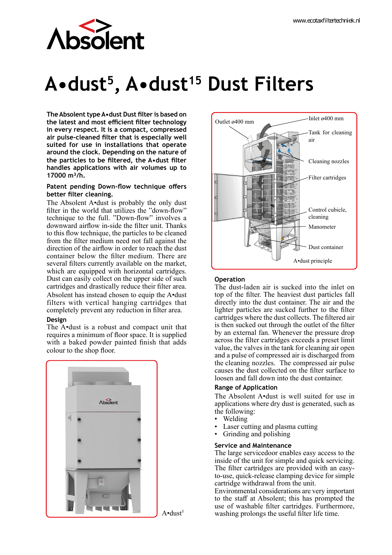

# **A•dust<sup>5</sup>, A•dust<sup>15</sup> Dust Filters**

**The Absolent type A•dust Dust filter is based on the latest and most efficient filter technology in every respect. It is a compact, compressed air pulse-cleaned filter that is especially well suited for use in installations that operate around the clock. Depending on the nature of the particles to be filtered, the A•dust filter handles applications with air volumes up to 17000 m³/h.**

#### **Patent pending Down-flow technique offers better filter cleaning.**

The Absolent A•dust is probably the only dust filter in the world that utilizes the "down-flow" technique to the full. "Down-flow" involves a downward airflow in-side the filter unit. Thanks to this flow technique, the particles to be cleaned from the filter medium need not fall against the direction of the airflow in order to reach the dust container below the filter medium. There are several filters currently available on the market, which are equipped with horizontal cartridges. Dust can easily collect on the upper side of such cartridges and drastically reduce their filter area. Absolent has instead chosen to equip the A•dust

filters with vertical hanging cartridges that completely prevent any reduction in filter area.

#### **Design**

The A•dust is a robust and compact unit that requires a minimum of floor space. It is supplied with a baked powder painted finish that adds colour to the shop floor.





## **Operation**

The dust-laden air is sucked into the inlet on top of the filter. The heaviest dust particles fall directly into the dust container. The air and the lighter particles are sucked further to the filter cartridges where the dust collects. The filtered air is then sucked out through the outlet of the filter by an external fan. Whenever the pressure drop across the filter cartridges exceeds a preset limit value, the valves in the tank for cleaning air open and a pulse of compressed air is discharged from the cleaning nozzles. The compressed air pulse causes the dust collected on the filter surface to loosen and fall down into the dust container.

#### **Range of Application**

The Absolent A•dust is well suited for use in applications where dry dust is generated, such as the following:

- Welding
- Laser cutting and plasma cutting
- Grinding and polishing

#### **Service and Maintenance**

The large servicedoor enables easy access to the inside of the unit for simple and quick servicing. The filter cartridges are provided with an easyto-use, quick-release clamping device for simple cartridge withdrawal from the unit.

Environmental considerations are very important to the staff at Absolent; this has prompted the use of washable filter cartridges. Furthermore, washing prolongs the useful filter life time.